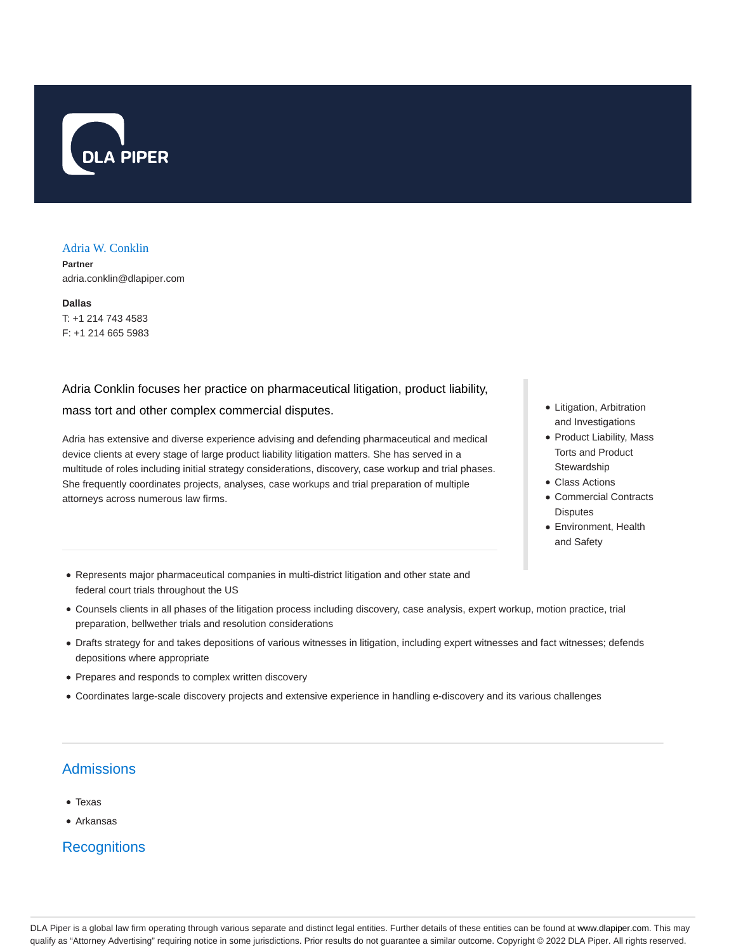

#### Adria W. Conklin

**Partner** adria.conklin@dlapiper.com

**Dallas** T: +1 214 743 4583 F: +1 214 665 5983

Adria Conklin focuses her practice on pharmaceutical litigation, product liability, mass tort and other complex commercial disputes.

Adria has extensive and diverse experience advising and defending pharmaceutical and medical device clients at every stage of large product liability litigation matters. She has served in a multitude of roles including initial strategy considerations, discovery, case workup and trial phases. She frequently coordinates projects, analyses, case workups and trial preparation of multiple attorneys across numerous law firms.

- Litigation, Arbitration and Investigations
- Product Liability, Mass Torts and Product **Stewardship**
- Class Actions
- Commercial Contracts **Disputes**
- Environment, Health and Safety
- Represents major pharmaceutical companies in multi-district litigation and other state and federal court trials throughout the US
- Counsels clients in all phases of the litigation process including discovery, case analysis, expert workup, motion practice, trial preparation, bellwether trials and resolution considerations
- Drafts strategy for and takes depositions of various witnesses in litigation, including expert witnesses and fact witnesses; defends depositions where appropriate
- Prepares and responds to complex written discovery
- Coordinates large-scale discovery projects and extensive experience in handling e-discovery and its various challenges

# Admissions

- Texas
- Arkansas

**Recognitions**